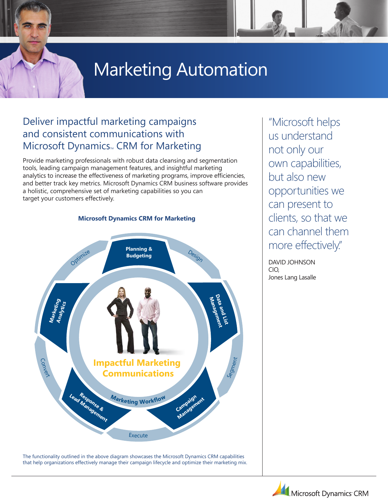# Marketing Automation

# Deliver impactful marketing campaigns and consistent communications with Microsoft Dynamics<sub>M</sub> CRM for Marketing

Provide marketing professionals with robust data cleansing and segmentation tools, leading campaign management features, and insightful marketing analytics to increase the effectiveness of marketing programs, improve efficiencies, and better track key metrics. Microsoft Dynamics CRM business software provides a holistic, comprehensive set of marketing capabilities so you can target your customers effectively.



The functionality outlined in the above diagram showcases the Microsoft Dynamics CRM capabilities that help organizations effectively manage their campaign lifecycle and optimize their marketing mix. "Microsoft helps us understand not only our own capabilities, but also new opportunities we can present to clients, so that we can channel them more effectively."

David Johnson CIO, Jones Lang Lasalle

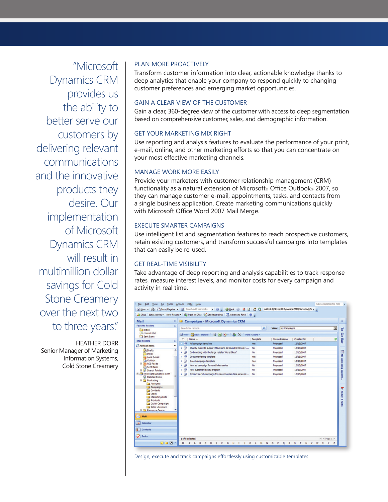"Microsoft Dynamics CRM provides us the ability to better serve our customers by delivering relevant communications and the innovative products they desire. Our implementation of Microsoft Dynamics CRM will result in multimillion dollar savings for Cold Stone Creamery over the next two to three years."

Heather Dorr Senior Manager of Marketing Information Systems, Cold Stone Creamery

#### Plan More Proactively

Transform customer information into clear, actionable knowledge thanks to deep analytics that enable your company to respond quickly to changing customer preferences and emerging market opportunities.

# Gain a Clear View of the Customer

Gain a clear, 360-degree view of the customer with access to deep segmentation based on comprehensive customer, sales, and demographic information.

# Get Your Marketing Mix Right

Use reporting and analysis features to evaluate the performance of your print, e-mail, online, and other marketing efforts so that you can concentrate on your most effective marketing channels.

# Manage Work More Easily

Provide your marketers with customer relationship management (CRM) functionality as a natural extension of Microsoft® Office Outlook® 2007, so they can manage customer e-mail, appointments, tasks, and contacts from a single business application. Create marketing communications quickly with Microsoft Office Word 2007 Mail Merge.

#### Execute Smarter Campaigns

Use intelligent list and segmentation features to reach prospective customers, retain existing customers, and transform successful campaigns into templates that can easily be re-used.

#### Get Real-Time Visibility

Take advantage of deep reporting and analysis capabilities to track response rates, measure interest levels, and monitor costs for every campaign and activity in real time.



Design, execute and track campaigns effortlessly using customizable templates.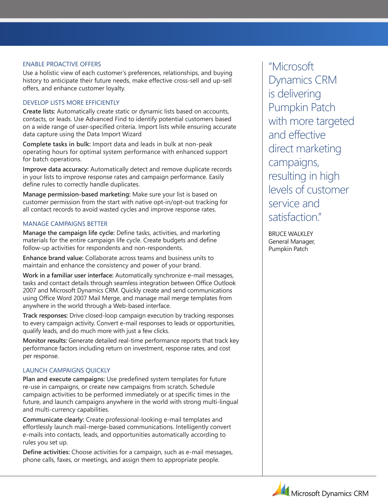#### Enable Proactive Offers

Use a holistic view of each customer's preferences, relationships, and buying history to anticipate their future needs, make effective cross-sell and up-sell offers, and enhance customer loyalty.

# Develop Lists More Efficiently

**Create lists:** Automatically create static or dynamic lists based on accounts, contacts, or leads. Use Advanced Find to identify potential customers based on a wide range of user-specified criteria. Import lists while ensuring accurate data capture using the Data Import Wizard

**Complete tasks in bulk:** Import data and leads in bulk at non-peak operating hours for optimal system performance with enhanced support for batch operations.

**Improve data accuracy:** Automatically detect and remove duplicate records in your lists to improve response rates and campaign performance. Easily define rules to correctly handle duplicates.

**Manage permission-based marketing:** Make sure your list is based on customer permission from the start with native opt-in/opt-out tracking for all contact records to avoid wasted cycles and improve response rates.

#### Manage Campaigns Better

**Manage the campaign life cycle:** Define tasks, activities, and marketing materials for the entire campaign life cycle. Create budgets and define follow-up activities for respondents and non-respondents.

**Enhance brand value:** Collaborate across teams and business units to maintain and enhance the consistency and power of your brand.

**Work in a familiar user interface:** Automatically synchronize e-mail messages, tasks and contact details through seamless integration between Office Outlook 2007 and Microsoft Dynamics CRM. Quickly create and send communications using Office Word 2007 Mail Merge, and manage mail merge templates from anywhere in the world through a Web-based interface.

**Track responses:** Drive closed-loop campaign execution by tracking responses to every campaign activity. Convert e-mail responses to leads or opportunities, qualify leads, and do much more with just a few clicks.

**Monitor results:** Generate detailed real-time performance reports that track key performance factors including return on investment, response rates, and cost per response.

#### Launch Campaigns Quickly

**Plan and execute campaigns:** Use predefined system templates for future re-use in campaigns, or create new campaigns from scratch. Schedule campaign activities to be performed immediately or at specific times in the future, and launch campaigns anywhere in the world with strong multi-lingual and multi-currency capabilities.

**Communicate clearly:** Create professional-looking e-mail templates and effortlessly launch mail-merge-based communications. Intelligently convert e-mails into contacts, leads, and opportunities automatically according to rules you set up.

**Define activities:** Choose activities for a campaign, such as e-mail messages, phone calls, faxes, or meetings, and assign them to appropriate people.

"Microsoft Dynamics CRM is delivering Pumpkin Patch with more targeted and effective direct marketing campaigns, resulting in high levels of customer service and satisfaction."

Bruce Walkley General Manager, Pumpkin Patch